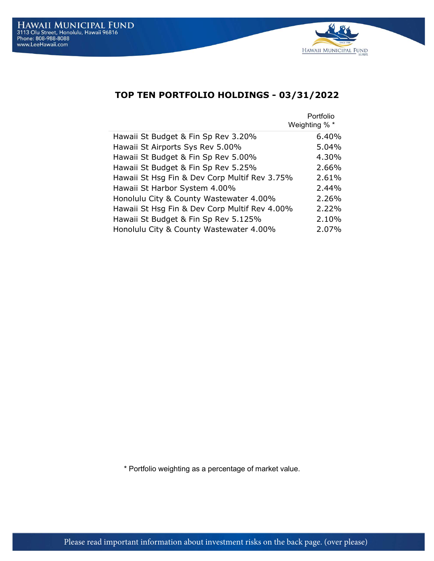

## TOP TEN PORTFOLIO HOLDINGS - 03/31/2022

|                                               | Portfolio<br>Weighting % * |
|-----------------------------------------------|----------------------------|
| Hawaii St Budget & Fin Sp Rev 3.20%           | 6.40%                      |
| Hawaii St Airports Sys Rev 5.00%              | $5.04\%$                   |
| Hawaii St Budget & Fin Sp Rev 5.00%           | 4.30%                      |
| Hawaii St Budget & Fin Sp Rev 5.25%           | 2.66%                      |
| Hawaii St Hsg Fin & Dev Corp Multif Rev 3.75% | 2.61%                      |
| Hawaii St Harbor System 4.00%                 | 2.44%                      |
| Honolulu City & County Wastewater 4.00%       | 2.26%                      |
| Hawaii St Hsg Fin & Dev Corp Multif Rev 4.00% | 2.22%                      |
| Hawaii St Budget & Fin Sp Rev 5.125%          | 2.10%                      |
| Honolulu City & County Wastewater 4.00%       | 2.07%                      |

\* Portfolio weighting as a percentage of market value.